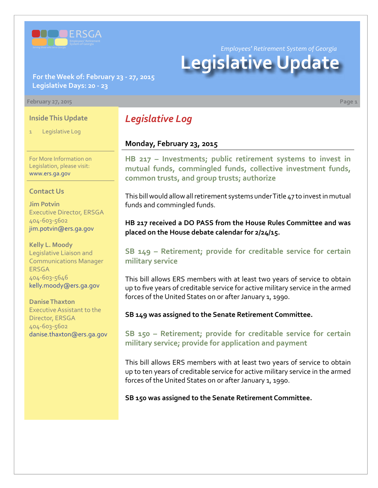

*Employees' Retirement System of Georgia*

# **Legislative Update**

**For the Week of: February 23 - 27, 2015 Legislative Days: 20 - 23**

#### **February 27, 2015 Page 1**

#### **Inside This Update**

Legislative Log

For More Information on Legislation, please visit: [www.ers.ga.gov](http://www.ers.ga.gov/default.aspx)

#### **Contact Us**

**Jim Potvin** Executive Director, ERSGA 404-603-5602 jim.potvin@ers.ga.gov

**Kelly L. Moody** Legislative Liaison and Communications Manager ERSGA 404-603-5646 kelly.moody@ers.ga.gov

**Danise Thaxton** Executive Assistant to the Director, ERSGA 404-603-5602 danise.thaxton@ers.ga.gov

# *Legislative Log*

#### **Monday, February 23, 2015**

**HB [217 – I](http://www.legis.ga.gov/legislation/en-US/Display/20152016/HB/217)nvestments; public retirement systems to invest in mutual funds, commingled funds, collective investment funds, common trusts, and group trusts; authorize**

This bill would allow all retirement systems under Title 47 to invest in mutual funds and commingled funds.

**HB 217 received a DO PASS from the House Rules Committee and was placed on the House debate calendar for 2/24/15.**

### **S[B 149 – R](http://www.legis.ga.gov/legislation/en-US/Display/20152016/SB/149)etirement; provide for creditable service for certain military service**

This bill allows ERS members with at least two years of service to obtain up to five years of creditable service for active military service in the armed forces of the United States on or after January 1, 1990.

**SB 149 was assigned to the Senate Retirement Committee.**

**S[B 150 – R](http://www.legis.ga.gov/legislation/en-US/Display/20152016/SB/150)etirement; provide for creditable service for certain military service; provide for application and payment**

This bill allows ERS members with at least two years of service to obtain up to ten years of creditable service for active military service in the armed forces of the United States on or after January 1, 1990.

**SB 150 was assigned to the Senate Retirement Committee.**